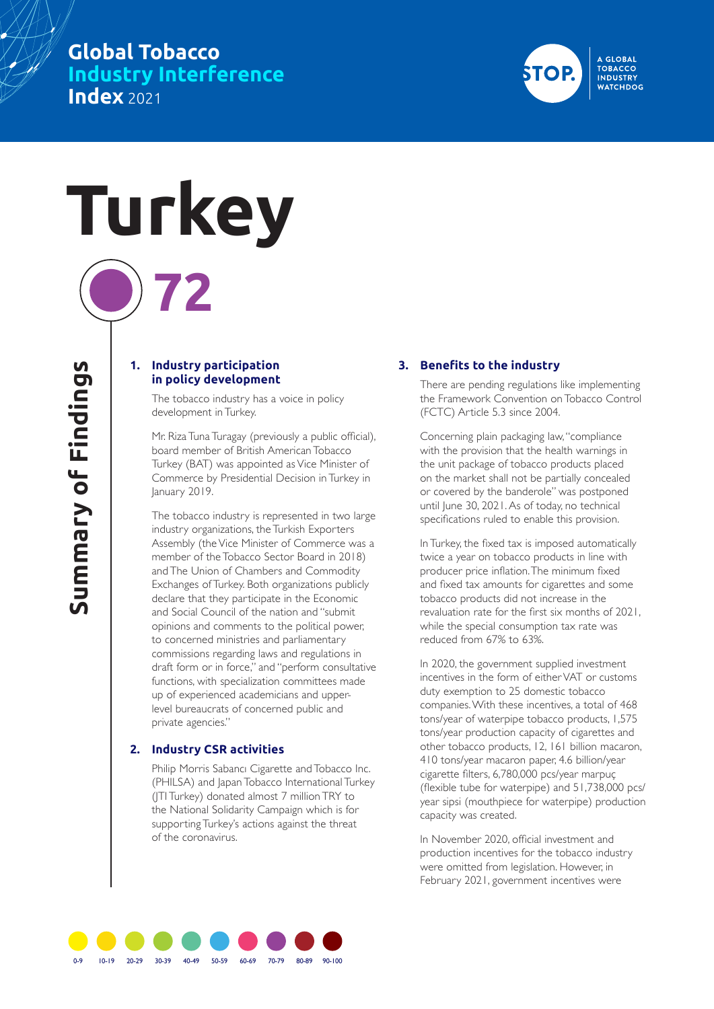## **Global Tobacco Industry Interference Index** 2021



# **Turkey 72**

#### **1. Industry participation in policy development**

The tobacco industry has a voice in policy development in Turkey.

Mr. Riza Tuna Turagay (previously a public official), board member of British American Tobacco Turkey (BAT) was appointed as Vice Minister of Commerce by Presidential Decision in Turkey in January 2019.

The tobacco industry is represented in two large industry organizations, the Turkish Exporters Assembly (the Vice Minister of Commerce was a member of the Tobacco Sector Board in 2018) and The Union of Chambers and Commodity Exchanges of Turkey. Both organizations publicly declare that they participate in the Economic and Social Council of the nation and "submit opinions and comments to the political power, to concerned ministries and parliamentary commissions regarding laws and regulations in draft form or in force," and "perform consultative functions, with specialization committees made up of experienced academicians and upperlevel bureaucrats of concerned public and private agencies."

#### **2. Industry CSR activities**

Philip Morris Sabancı Cigarette and Tobacco Inc. (PHILSA) and Japan Tobacco International Turkey (JTI Turkey) donated almost 7 million TRY to the National Solidarity Campaign which is for supporting Turkey's actions against the threat of the coronavirus.

## **3. Benefits to the industry**

There are pending regulations like implementing the Framework Convention on Tobacco Control (FCTC) Article 5.3 since 2004.

Concerning plain packaging law, "compliance with the provision that the health warnings in the unit package of tobacco products placed on the market shall not be partially concealed or covered by the banderole" was postponed until June 30, 2021. As of today, no technical specifications ruled to enable this provision.

In Turkey, the fixed tax is imposed automatically twice a year on tobacco products in line with producer price inflation. The minimum fixed and fixed tax amounts for cigarettes and some tobacco products did not increase in the revaluation rate for the first six months of 2021, while the special consumption tax rate was reduced from 67% to 63%.

In 2020, the government supplied investment incentives in the form of either VAT or customs duty exemption to 25 domestic tobacco companies. With these incentives, a total of 468 tons/year of waterpipe tobacco products, 1,575 tons/year production capacity of cigarettes and other tobacco products, 12, 161 billion macaron, 410 tons/year macaron paper, 4.6 billion/year cigarette filters, 6,780,000 pcs/year marpuç (flexible tube for waterpipe) and 51,738,000 pcs/ year sipsi (mouthpiece for waterpipe) production capacity was created.

In November 2020, official investment and production incentives for the tobacco industry were omitted from legislation. However, in February 2021, government incentives were